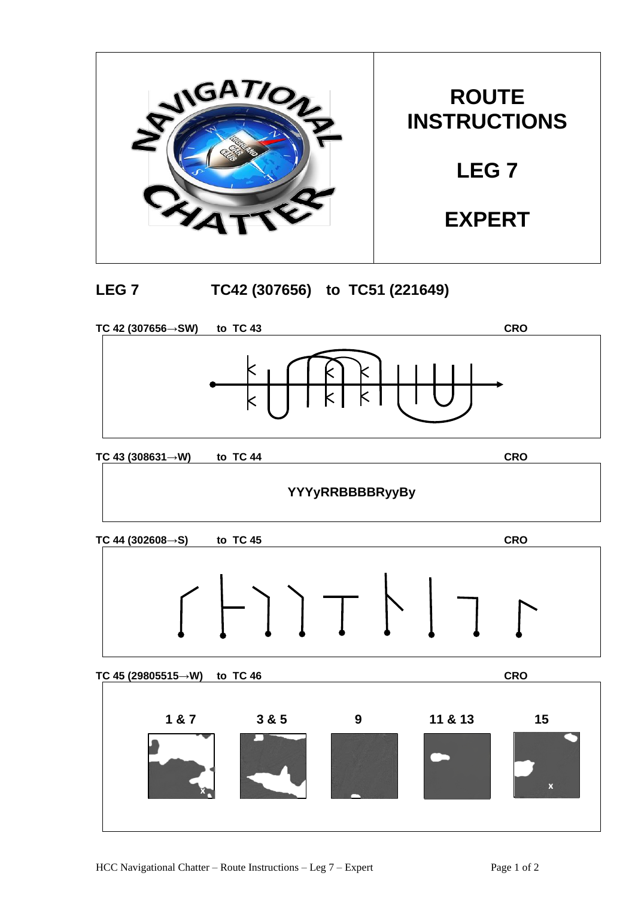

## **LEG 7 TC42 (307656) to TC51 (221649)**



**TC 43 (308631→W) to TC 44 CRO**

## **YYYyRRBBBBRyyBy**